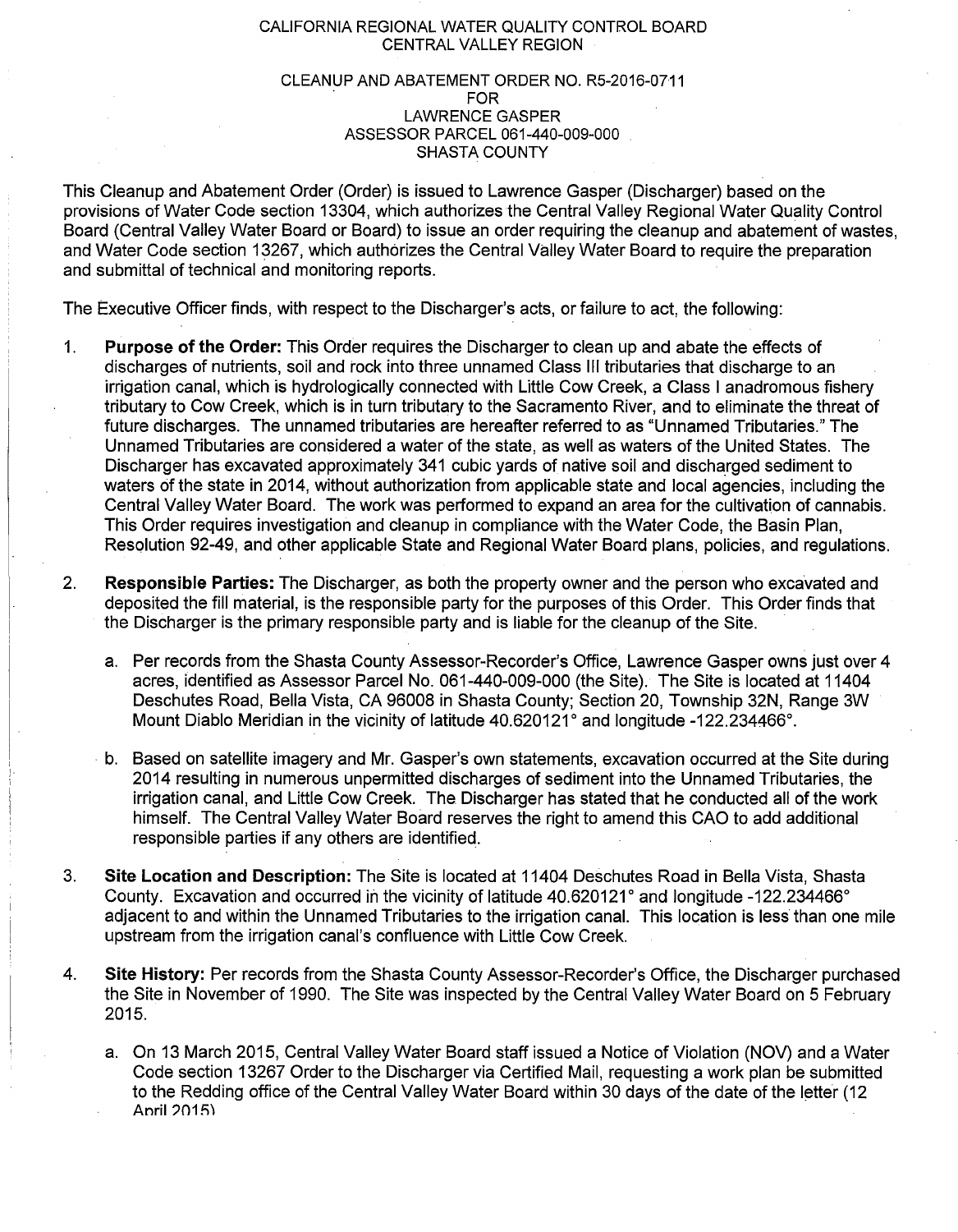## CALIFORNIA REGIONAL WATER QUALITY CONTROL BOARD CENTRAL VALLEY REGION

## CLEANUP AND ABATEMENT ORDER NO. R5-2016-0711 LAWRENCE GASPER ASSESSOR PARCEL 061-440-009-000 SHASTA COUNTY

This Cleanup and Abatement Order (Order) is issued to Lawrence Gasper (Discharger) based on the provisions of Water Code section 13304, which authorizes the Central Valley Regional Water Quality Control Board (Central Valley Water Board or Board) to issue an order requiring the cleanup and abatement of wastes, and Water Code section 13267, which authorizes the Central Valley Water Board to require the preparation and submittal of technical and monitoring reports.

The Executive Officer finds, with respect to the Discharger's acts, or failure to act, the following:

- 1. **Purpose of the Order:** This Order requires the Discharger to clean up and abate the effects of discharges of nutrients, soil and rock into three unnamed Class Ill tributaries that discharge to an irrigation canal, which is hydrologically connected with Little Cow Creek, a Class I anadromous fishery tributary to Cow Creek, which is in turn tributary to the Sacramento River, and to eliminate the threat of future discharges. The unnamed tributaries are hereafter referred to as "Unnamed Tributaries." The Unnamed Tributaries are considered a water of the state, as well as waters of the United States. The Discharger has excavated approximately 341 cubic yards of native soil and discharged sediment to waters of the state in 2014, without authorization from applicable state and local agencies, including the Central Valley Water Board. The work was performed to expand an area for the cultivation of cannabis. This Order requires investigation and cleanup in compliance with the Water Code, the Basin Plan, Resqlution 92-49, and other applicable State and Regional Water Board plans, policies, and regulations.
- 2. **Responsible Parties:** The Discharger, as both the property owner and the person who excavated and deposited the fill material, is the responsible party for the purposes of this Order. This Order finds that the Discharger is the primary responsible party and is liable for the cleanup of the Site.
	- a. Per records from the Shasta County Assessor-Recorder's Office, Lawrence Gasper owns just over 4 acres, identified as Assessor Parcel No. 061-440-009-000 (the Site). The Site is located at 11404 Deschutes Road, Bella Vista, CA 96008 in Shasta County; Section 20, Township 32N, Range 3W Mount Diablo Meridian in the vicinity of latitude 40.620121° and longitude -122.234466°.
	- · b. Based on satellite imagery and Mr. Gasper's own statements, excavation occurred at the Site during 2014 resulting in numerous unpermitted discharges of sediment into the Unnamed Tributaries, the irrigation canal, and Little Cow Creek. The Discharger has stated that he conducted all of the work himself. The Central Valley Water Board reserves the right to amend this CAO to add additional responsible parties if any others are identified.
- 3. **Site Location and Description:** The Site is located at 11404 Deschutes Road in Bella Vista, Shasta County. Excavation and occurred in the vicinity of latitude 40.620121° and longitude -122.234466° adjacent to and within the Unnamed Tributaries to the irrigation canal. This location is less than one mile upstream from the irrigation canal's confluence with Little Cow Creek.
- 4. **Site History:** Per records from the Shasta County Assessor-Recorder's Office, the Discharger purchased the Site in November of 1990. The Site was inspected by the Central Valley Water Board on 5 February 2015.
	- a. On 13 March 2015, Central Valley Water Board staff issued a Notice of Violation (NOV) and a Water Code section 13267 Order to the Discharger via Certified Mail, requesting a work plan be submitted to the Redding office of the Central Valley Water Board within 30 days of the date of the letter (12 Anril 2015)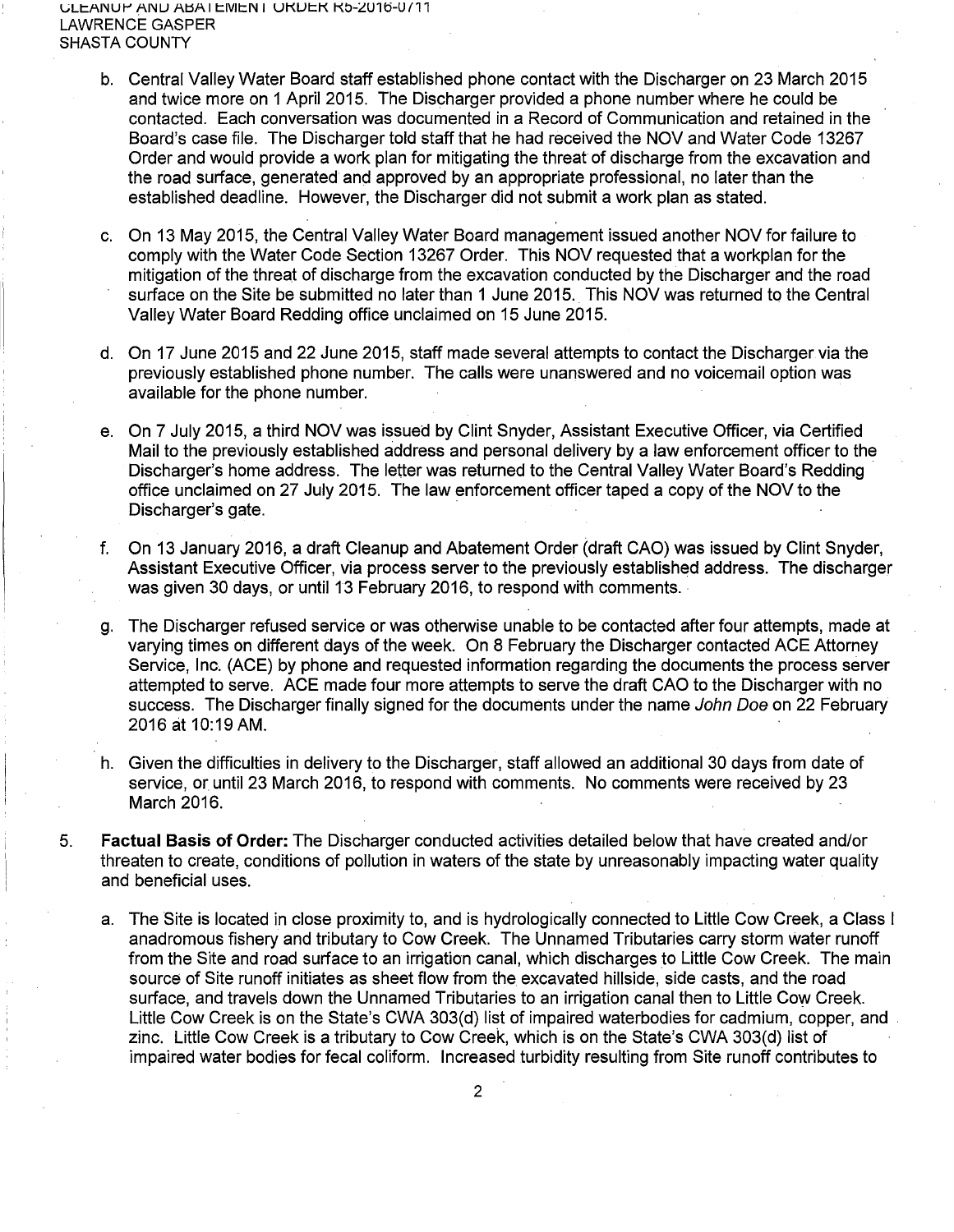LANUP ANU ABATEMENT OKUEK K5-2016-0711. LAWRENCE GASPER SHASTA COUNTY

- b. Central Valley Water Board staff established phone contact with the Discharger on 23 March 2015 and twice more on 1 April 2015. The Discharger provided a phone number where he could be contacted. Each conversation was documented in a Record of Communication and retained in the Board's case file. The Discharger told staff that he had received the NOV and Water Code 13267 Order and would provide a work plan for mitigating the threat of discharge from the excavation and the road surface, generated and approved by an appropriate professional, no later than the established deadline. However, the Discharger did not submit a work plan as stated.
- c. On 13 May 2015, the Central Valley Water Board management issued another NOV for failure to comply with the Water Code Section 13267 Order. This NOV requested that a workplan for the mitigation of the threat of discharge from the excavation conducted by the Discharger and the road surface on the Site be submitted no later than 1 June 2015. This NOV was returned to the Central Valley Water Board Redding office unclaimed on 15 June 2015.
- d. On 17 June 2015 and 22 June 2015, staff made several attempts to contact the Discharger via the previously established phone number. The calls were unanswered and no voicemail option was available for the phone number.
- e. On 7 July 2015, a third NOV was issued by Clint Snyder, Assistant Executive Officer, via Certified Mail to the previously established address and personal delivery by a law enforcement officer to the Discharger's home address. The letter was returned to the Central Valley Water Board's Redding office unclaimed on 27 July 2015. The law enforcement officer taped a copy of the NOV to the Discharger's gate.
- f. On 13 January 2016, a draft Cleanup and Abatement Order (draft CAO) was issued by Clint Snyder, Assistant Executive Officer, via process server to the previously established address. The discharger was given 30 days, or until 13 February 2016, to respond with comments.
- g. The Discharger refused service or was otherwise unable to be contacted after four attempts, made at varying times on different days of the week. On 8 February the Discharger contacted ACE Attorney Service, Inc. (ACE) by phone and requested information regarding the documents the process server attempted to serve. ACE made four more attempts to serve the draft CAO to the Discharger with no success. The Discharger finally signed for the documents under the name John Doe on 22 February 2016 at 10:19 AM.
- h. Given the difficulties in delivery to the Discharger, staff allowed an additional 30 days from date of service, or until 23 March 2016, to respond with comments. No comments were received by 23 March 2016.
- 5. **Factual Basis of Order:** The Discharger conducted activities detailed below that have created and/or threaten to create, conditions of pollution in waters of the state by unreasonably impacting water quality and beneficial uses.
	- a. The Site is located in close proximity to, and is hydrologically connected to Little Cow Creek, a Class I anadromous fishery and tributary to Cow Creek. The Unnamed Tributaries carry storm water runoff from the Site and road surface to an irrigation canal, which discharges to Little Cow Creek. The main source of Site runoff initiates as sheet flow from the excavated hillside, side casts, and the road surface, and travels down the Unnamed Tributaries to an irrigation canal then to Little Cow Creek. Little Cow Creek is on the State's CWA 303(d) list of impaired waterbodies for cadmium, copper, and zinc. Little Cow Creek is a tributary to Cow Creek, which is on the State's CWA 303(d) list of impaired water bodies for fecal coliform. Increased turbidity resulting from Site runoff contributes to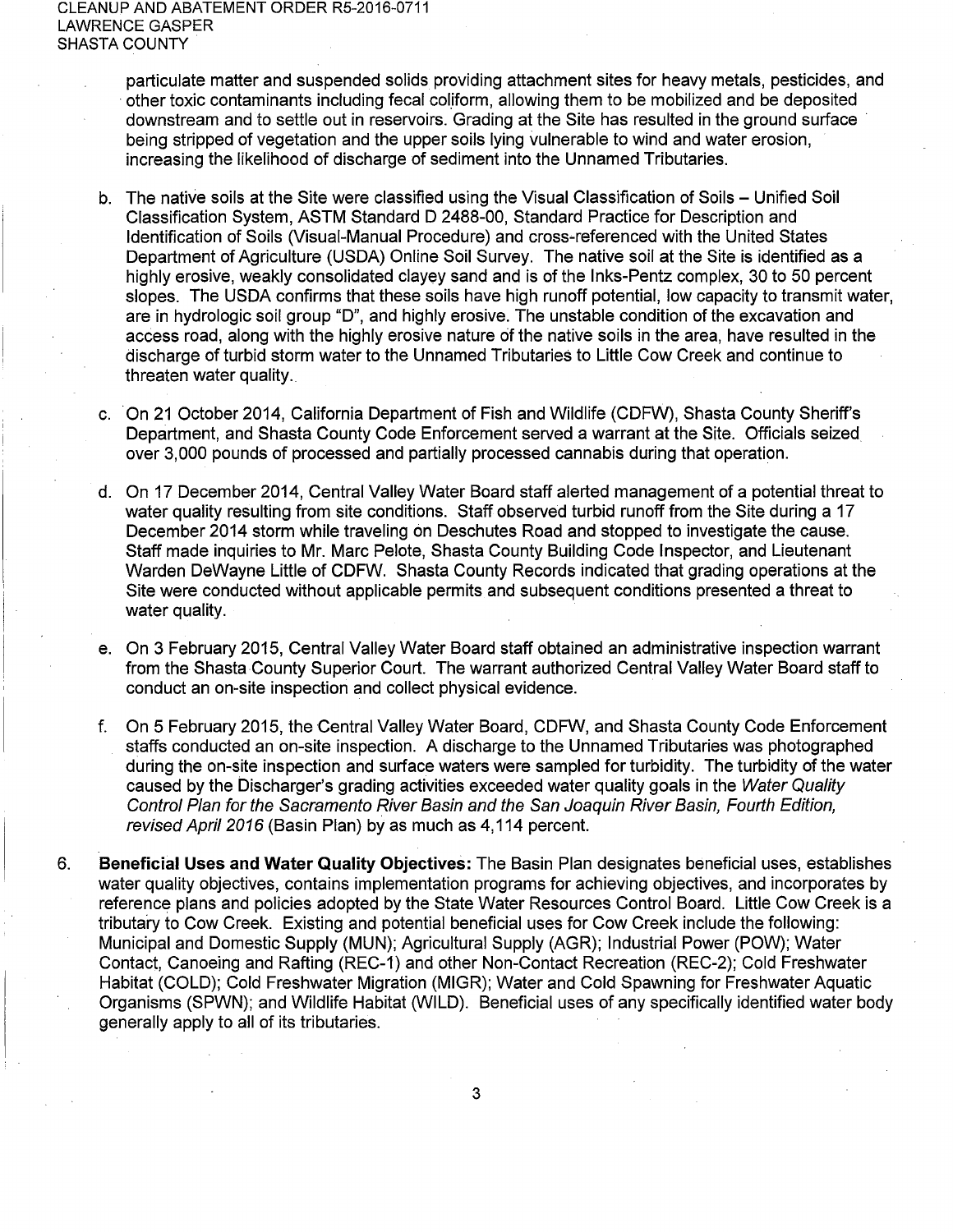particulate matter and suspended solids providing attachment sites for heavy metals, pesticides, and other toxic contaminants including fecal coliform, allowing them to be mobilized and be deposited downstream and to settle out in reservoirs. Grading at the Site has resulted in the ground surface · being stripped of vegetation and the upper soils lying vulnerable to wind and water erosion, increasing the likelihood of discharge of sediment into the Unnamed Tributaries.

- b. The native soils at the Site were classified using the Visual Classification of Soils Unified Soil Classification System, ASTM Standard D 2488-00, Standard Practice for Description and Identification of Soils (Visual-Manual Procedure) and cross-referenced with the United States Department of Agriculture (USDA) Online Soil Survey. The native soil at the Site is identified as a highly erosive, weakly consolidated clayey sand and is of the lnks-Pentz complex, 30 to 50 percent slopes. The USDA confirms that these soils have high runoff potential, low capacity to transmit water, are in hydrologic soil group "D", and highly erosive. The unstable condition of the excavation and access road, along with the highly erosive nature of the native soils in the area, have resulted in the discharge of turbid storm water to the Unnamed Tributaries to Little Cow Creek and continue to threaten water quality.
- c. On 21 October 2014, California Department of Fish and Wildlife (CDFW), Shasta County Sheriff's Department, and Shasta County Code Enforcement served a warrant at the Site. Officials seized over 3,000 pounds of processed and partially processed cannabis during that operation.
- d. On 17 December 2014, Central Valley Water Board staff alerted management of a potential threat to water quality resulting from site conditions. Staff observed turbid runoff from the Site during a 17 December 2014 storm while traveling on Deschutes Road and stopped to investigate the cause. Staff made inquiries to Mr. Marc Pelote, Shasta County Building Code Inspector, and Lieutenant Warden DeWayne Little of CDFW. Shasta County Records indicated that grading operations at the Site were conducted without applicable permits and subsequent conditions presented a threat to water quality.
- e. On 3 February 2015, Central Valley Water Board staff obtained an administrative inspection warrant from the Shasta County Superior Court. The warrant authorized Central Valley Water Board staff to conduct an on-site inspection and collect physical evidence.
- f. On 5 February 2015, the Central Valley Water Board, CDFW, and Shasta County Code Enforcement staffs conducted an on-site inspection. A discharge to the Unnamed Tributaries was photographed during the on-site inspection and surface waters were sampled for turbidity. The turbidity of the water caused by the Discharger's grading activities exceeded water quality goals in the Water Quality Control Plan for the Sacramento River Basin and the San Joaquin River Basin, Fourth Edition, revised April 2016 (Basin Plan) by as much as 4,114 percent.
- 6. **Beneficial Uses and Water Quality Objectives:** The Basin Plan designates beneficial uses, establishes water quality objectives, contains implementation programs for achieving objectives, and incorporates by reference plans and policies adopted by the State Water Resources Control Board. Little Cow Creek is a tributary to Cow Creek. Existing and potential beneficial uses for Cow Creek include the following: Municipal and Domestic Supply (MUN); Agricultural Supply (AGR); Industrial Power (POW); Water Contact, Canoeing and Rafting (REC-1) and other Non-Contact Recreation (REC-2); Cold Freshwater Habitat (COLD); Cold Freshwater Migration (MIGR); Water and Cold Spawning for Freshwater Aquatic Organisms (SPWN); and Wildlife Habitat (WILD). Beneficial uses of any specifically identified water body generally apply to all of its tributaries.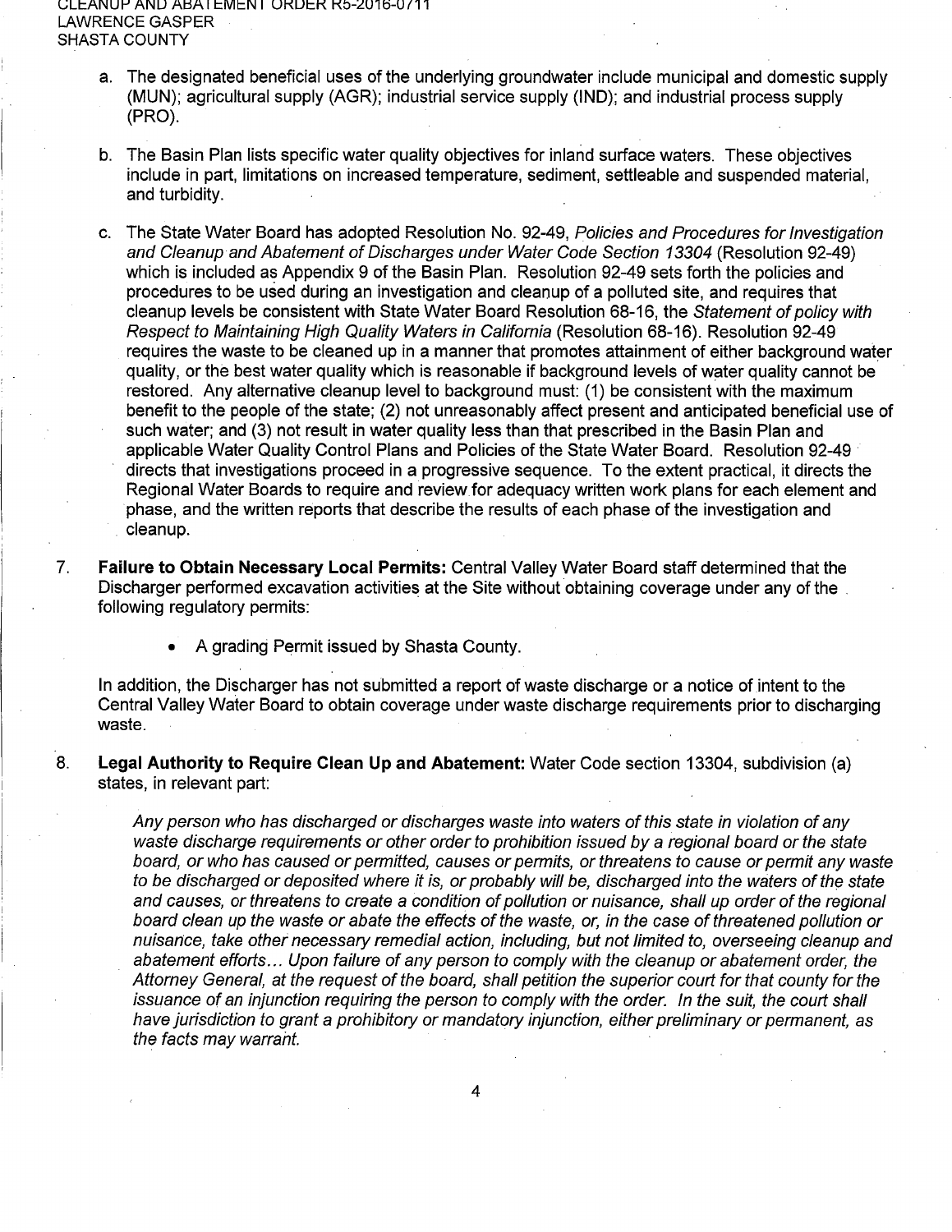L;Lt:ANUI-' ANU Al:jA I t:Mt:N I UKUt:K Kb-£U1ti-Uf11 LAWRENCE GASPER SHASTA COUNTY

- a. The designated beneficial uses of the underlying groundwater include municipal and domestic supply (MUN); agricultural supply (AGR); industrial service supply (IND); and industrial process supply (PRO).
- b. The Basin Plan lists specific water quality objectives for inland surface waters. These objectives include in part, limitations on increased temperature, sediment, settleable and suspended material, and turbidity.
- c. The State Water Board has adopted Resolution No. 92-49, Policies and Procedures for Investigation and Cleanup and Abatement of Discharges under Water Code Section 13304 (Resolution 92-49) which is included as Appendix 9 of the Basin Plan. Resolution 92-49 sets forth the policies and procedures to be used during an investigation and cleanup of a polluted site, and requires that cleanup levels be consistent with State Water Board Resolution 68-16, the Statement of policy with Respect to Maintaining High Quality Waters in California (Resolution 68-16). Resolution 92-49 requires the waste to be cleaned up in a manner that promotes attainment of either background water quality, or the best water quality which is reasonable if background levels of water quality cannot be restored. Any alternative cleanup level to background must: (1) be consistent with the maximum benefit to the people of the state; (2) not unreasonably affect present and anticipated beneficial use of such water; and (3) not result in water quality less than that prescribed in the Basin Plan and applicable Water Quality Control Plans and Policies of the State Water Board. Resolution 92-49 · directs that investigations proceed in a progressive sequence. To the extent practical, it directs the Regional Water Boards to require and review for adequacy written work plans for each element and phase, and the written reports that describe the results of each phase of the investigation and cleanup.
- 7. **Failure to Obtain Necessary Local Permits:** Central Valley Water Board staff determined that the Discharger performed excavation activities at the Site without obtaining coverage under any of the . following regulatory permits:
	- A grading Permit issued by Shasta County.

In addition, the Discharger has not submitted a report of waste discharge or a notice of intent to the Central Valley Water Board to obtain coverage under waste discharge requirements prior to discharging waste.

8. **Legal Authority to Require Clean Up and Abatement:** Water Code section 13304, subdivision (a) states, in relevant part:

Any person who has discharged or discharges waste into waters of this state in violation of any waste discharge requirements or other order to prohibition issued by a regional board or the state board, or who has caused or permitted, causes or permits, or threatens to cause or permit any waste to be discharged or deposited where it is, or probably will be, discharged into the waters of the state and causes, or threatens to create a condition of pollution or nuisance, shall up order of the regional board clean up the waste or abate the effects of the waste, or, in the case of threatened pollution or nuisance, take other necessary remedial action, including, but not limited to, overseeing cleanup and abatement efforts ... Upon failure of any person to comply with the cleanup or abatement order, the Attorney General, at the request of the board, shall petition the superior court for that county for the issuance of an injunction requiring the person to comply with the order. In the suit, the court shall have jurisdiction to grant a prohibitory or mandatory injunction, either preliminary or permanent, as the facts may warrant.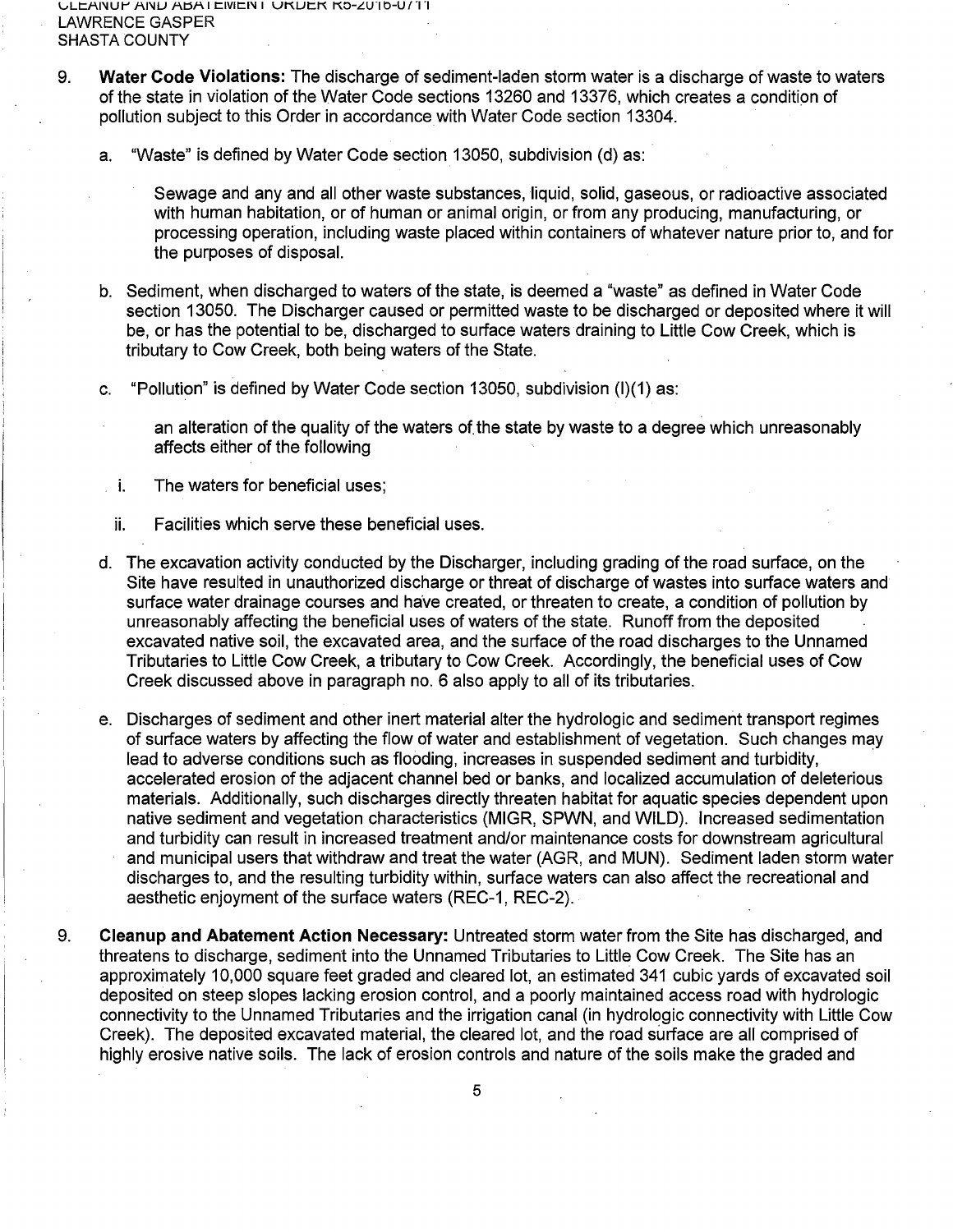vLt:?.I'IUI"' ?.I'IU ?.t:Sf\1 t:IVIt:l'l I UKUt:K KO-LU-10-U/"1"1 LAWRENCE GASPER SHASTA COUNTY

- 9. **Water Code Violations:** The discharge of sediment-laden storm water is a discharge of waste to waters of the state in violation of the Water Code sections 13260 and 13376, which creates a condition of pollution subject to this Order in accordance with Water Code section 13304.
	- a. "Waste" is defined by Water Code section 13050, subdivision (d) as:

Sewage and any and all other waste substances, liquid, solid, gaseous, or radioactive associated with human habitation, or of human or animal origin, or from any producing, manufacturing, or processing operation, including waste placed within containers of whatever nature prior to, and for the purposes of disposal.

- b. Sediment, when discharged to waters of the state, is deemed a "waste" as defined in Water Code section 13050. The Discharger caused or permitted waste to be discharged or deposited where it will be, or has the potential to be, discharged to surface waters draining to Little Cow Creek, which is tributary to Cow Creek, both being waters of the State.
- c. "Pollution" is defined by Water Code section 13050, subdivision (1)(1) as:
	- an alteration of the quality of the waters of. the state by waste to a degree which unreasonably affects either of the following
- i. The waters for beneficial uses;
- ii. Facilities which serve these beneficial uses.
- d. The excavation activity conducted by the Discharger, including grading of the road surface, on the Site have resulted in unauthorized discharge or threat of discharge of wastes into surface waters and surface water drainage courses and have created, or threaten to create, a condition of pollution by unreasonably affecting the beneficial uses of waters of the state. Runoff from the deposited excavated native soil, the excavated area, and the surface of the road discharges to the Unnamed Tributaries to Little Cow Creek, a tributary to Cow Creek. Accordingly, the beneficial uses of Cow Creek discussed above in paragraph no. 6 also apply to all of its tributaries.
- e. Discharges of sediment and other inert material alter the hydrologic and sediment transport regimes of surface waters by affecting the flow of water and establishment of vegetation. Such changes may lead to adverse conditions such as flooding, increases in suspended sediment and turbidity, accelerated erosion of the adjacent channel bed or banks, and localized accumulation of deleterious materials. Additionally, such discharges directly threaten habitat for aquatic species dependent upon native sediment and vegetation characteristics (MIGR, SPWN, and WILD). Increased sedimentation and turbidity can result in increased treatment and/or maintenance costs for downstream agricultural and municipal users that withdraw and treat the water (AGR, and MUN). Sediment laden storm water discharges to, and the resulting turbidity within, surface waters can also affect the recreational and aesthetic enjoyment of the surface waters (REC-1, REC-2).
- 9. **Cleanup and Abatement Action Necessary:** Untreated storm water from the Site has discharged, and threatens to discharge, sediment into the Unnamed Tributaries to Little Cow Creek. The Site has an approximately 10,000 square feet graded and cleared lot, an estimated 341 cubic yards of excavated soil deposited on steep slopes lacking erosion control, and a poorly maintained access road with hydrologic connectivity to the Unnamed Tributaries and the irrigation canal (in hydrologic connectivity with Little Cow Creek). The deposited excavated material, the cleared lot, and the road surface are all comprised of highly erosive native soils. The lack of erosion controls and nature of the soils make the graded and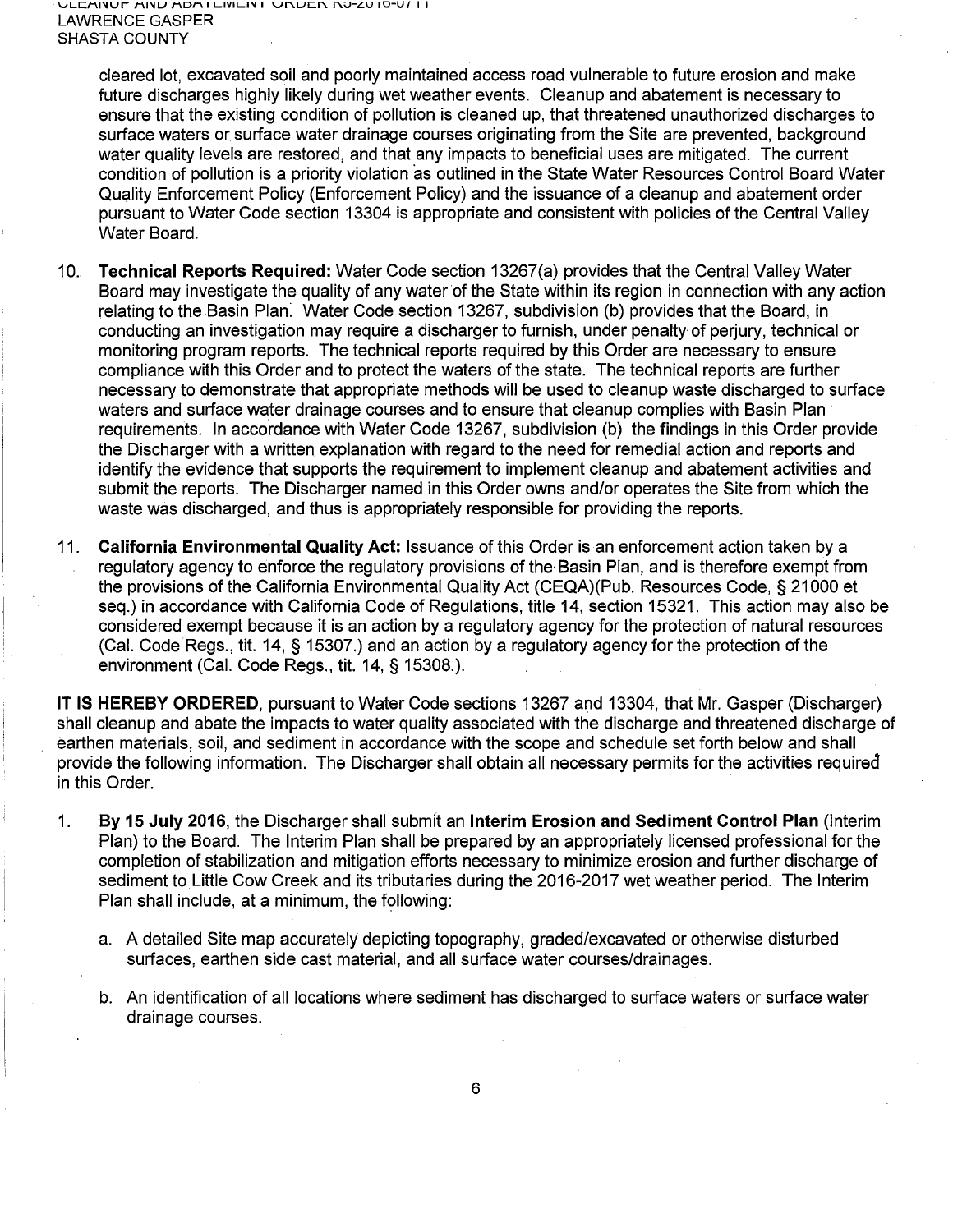cleared lot, excavated soil and poorly maintained access road vulnerable to future erosion and make future discharges highly likely during wet weather events. Cleanup and abatement is necessary to ensure that the existing condition of pollution is cleaned up, that threatened unauthorized discharges to surface waters or surface water drainage courses originating from the Site are prevented, background water quality levels are restored, and that any impacts to beneficial uses are mitigated. The current condition of pollution is a priority violation as outlined in the State Water Resources Control Board Water Quality Enforcement Policy (Enforcement Policy) and the issuance of a cleanup and abatement order pursuant to Water Code section 13304 is appropriate and consistent with policies of the Central Valley Water Board.

- 10. **Technical Reports Required:** Water Code section 13267(a) provides that the Central Valley Water Board may investigate the quality of any water of the State within its region in connection with any action relating to the Basin Plan: Water Code section 13267, subdivision (b) provides that the Board, in conducting an investigation may require a discharger to furnish, under penalty of perjury, technical or monitoring program reports. The technical reports required by this Order are necessary to ensure compliance with this Order and to protect the waters of the state. The technical reports are further necessary to demonstrate that appropriate methods will be used to cleanup waste discharged to surface waters and surface water drainage courses and to ensure that cleanup complies with Basin Plan · requirements. In accordance with Water Code 13267, subdivision (b) the findings in this Order provide the Discharger with a written explanation with regard to the need for remedial action and reports and identify the evidence that supports the requirement to implement cleanup and abatement activities and submit the reports. The Discharger named in this Order owns and/or operates the Site from which the waste was discharged, and thus is appropriately responsible for providing the reports.
- 11. **California Environmental Quality Act:** Issuance of this Order is an enforcement action taken by a regulatory agency to enforce the regulatory provisions of the Basin Plan, and is therefore exempt from the provisions of the California Environmental Quality Act (CEQA)(Pub. Resources Code, § 21000 et seq.) in accordance with California Code of Regulations, title 14, section 15321. This action may also be considered exempt because it is an action by a regulatory agency for the protection of natural resources (Cal. Code Regs., tit. 14, § 15307.) and an action by a regulatory agency for the protection of the environment (Cal. Code Regs., tit. 14, § 15308.).

**IT IS HEREBY ORDERED,** pursuant to Water Code sections 13267 and 13304, that Mr. Gasper (Discharger) shall cleanup and abate the impacts to water quality associated with the discharge and threatened discharge of earthen materials, soil, and sediment in accordance with the scope and schedule set forth below and shall provide the following information. The Discharger shall obtain all necessary permits for the activities required in this Order.

- 1. **By 15 July 2016,** the Discharger shall submit an **Interim Erosion and Sediment Control Plan** (Interim Plan) to the Board. The Interim Plan shall be prepared by an appropriately licensed professional for the completion of stabilization and mitigation efforts necessary to minimize erosion and further discharge of sediment to Little Cow Creek and its tributaries during the 2016-2017 wet weather period. The Interim Plan shall include, at a minimum, the following:
	- a. A detailed Site map accurately depicting topography, graded/excavated or otherwise disturbed surfaces, earthen side cast material, and all surface water courses/drainages.
	- b. An identification of all locations where sediment has discharged to surface waters or surface water drainage courses.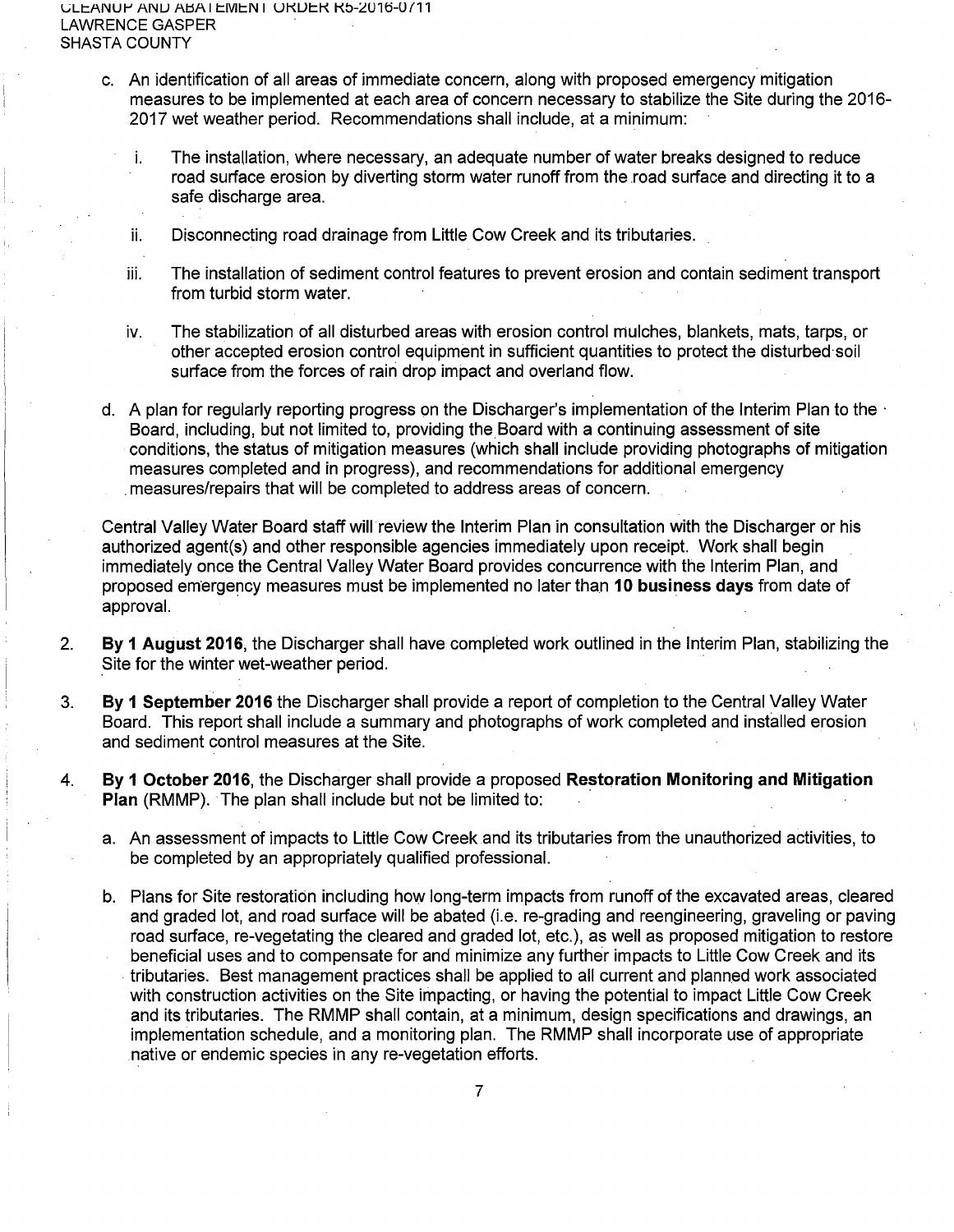L;LJ::ANUJ-' ANU AI::SAI J::Mt::N I UKUI::K Kb-LU1o-Uf11 LAWRENCE GASPER SHASTA COUNTY

- c. An identification of all areas of immediate concern, along with proposed emergency mitigation measures to be implemented at each area of concern necessary to stabilize the Site during the 2016- 2017 wet weather period. Recommendations shall include, at a minimum:
	- i. The installation, where necessary, an adequate number of water breaks designed to reduce road surface erosion by diverting storm water runoff from the road surface and directing it to a safe discharge area.
	- ii. Disconnecting road drainage from Little Cow Creek and its tributaries.
	- iii. The installation of sediment control features to prevent erosion and contain sediment transport from turbid storm water.
	- iv. The stabilization of all disturbed areas with erosion control mulches, blankets, mats, tarps, or other accepted erosion control equipment in sufficient quantities to protect the disturbed·soil surface from the forces of rain drop impact and overland flow.
- d. A plan for regularly reporting progress on the Discharger's implementation of the Interim Plan to the  $\cdot$ Board, including, but not limited to, providing the Board with a continuing assessment of site conditions, the status of mitigation measures (which shall include providing photographs of mitigation measures completed and in progress), and recommendations for additional emergency . measures/repairs that will be completed to address areas of concern.

Central Valley Water Board staff will review the Interim Plan in consultation with the Discharger or his authorized agent(s) and other responsible agencies immediately upon receipt. Work shall begin immediately once the Central Valley Water Board provides concurrence with the Interim Plan, and proposed emergency measures must be implemented no later than **10 business days** from date of approval.

- 2. **By 1 August 2016,** the Discharger shall have completed work outlined in the Interim Plan, stabilizing the Site for the winter wet-weather period.
- 3. **By 1 September 2016** the Discharger shall provide a report of completion to the Central Valley Water Board. This report shall include a summary and photographs of work completed and installed erosion and sediment control measures at the Site.
- 4. **By 1 October 2016,** the Discharger shall provide a proposed **Restoration Monitoring and Mitigation Plan** (RMMP). The plan shall include but not be limited to:
	- a. An assessment of impacts to Little Cow Creek and its tributaries from the unauthorized activities, to be completed by an appropriately qualified professional.
	- b. Plans for Site restoration including how long-term impacts from runoff of the excavated areas, cleared and graded lot, and road surface will be abated (i.e. re-grading and reengineering, graveling or paving road surface, re-vegetating the cleared and graded lot, etc.), as well as proposed mitigation to restore beneficial uses and to compensate for and minimize any further impacts to Little Cow Creek and its . tributaries. Best management practices shall be applied to all current and planned work associated with construction activities on the Site impacting, or having the potential to impact Little Cow Creek and its tributaries. The RMMP shall contain, at a minimum, design specifications and drawings, an implementation schedule, and a monitoring plan. The RMMP shall incorporate use of appropriate native or endemic species in any re-vegetation efforts.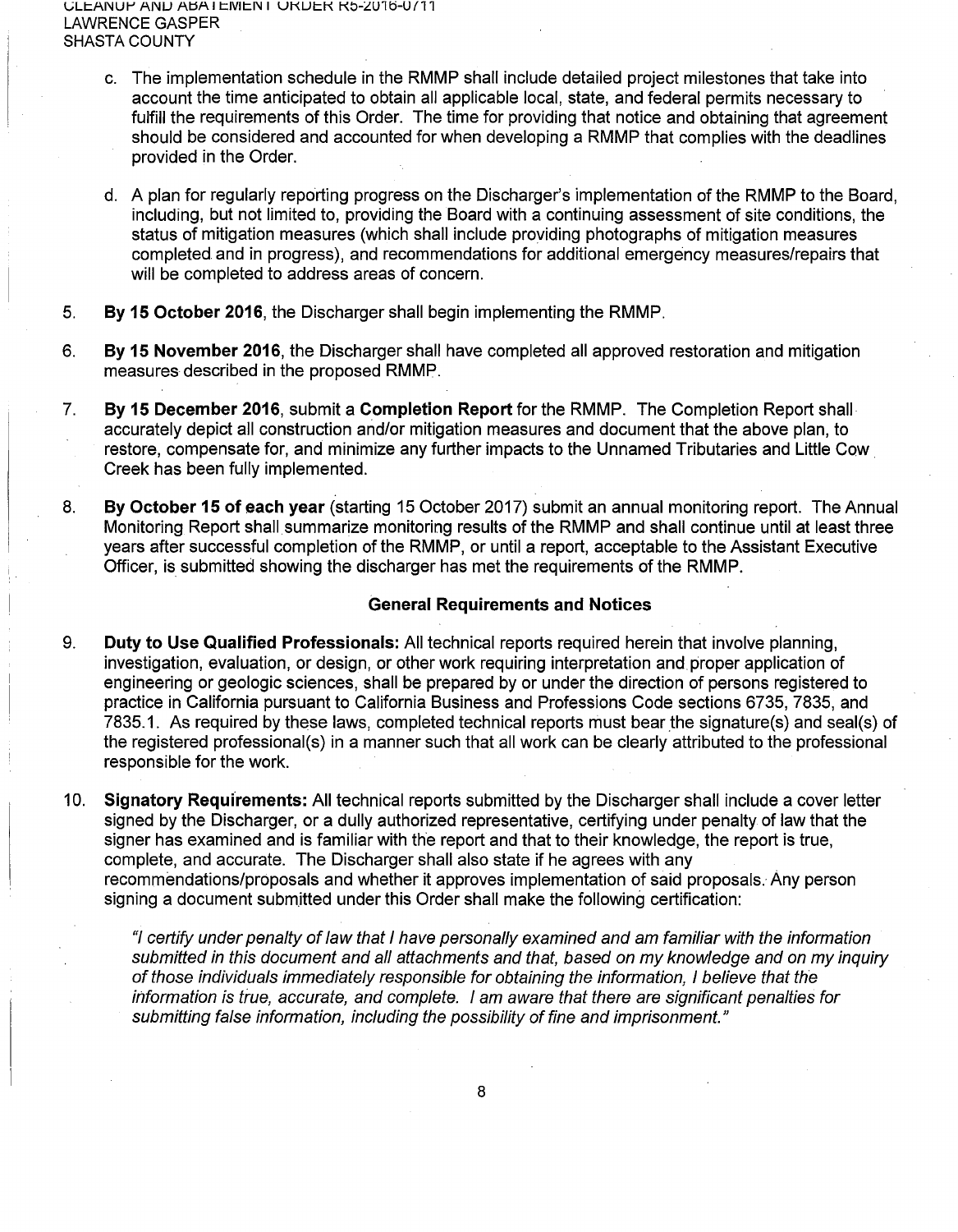vLt:ANUr' ANU At::5A I t:IVIt:N I UKUt:K Kb-LU1ti-Uf11 LAWRENCE GASPER SHASTA COUNTY

- c. The implementation schedule in the RMMP shall include detailed project milestones that take into account the time anticipated to obtain all applicable local, state, and federal permits necessary to fulfill the requirements of this Order. The time for providing that notice and obtaining that agreement should be considered and accounted for when developing a RMMP that complies with the deadlines provided in the Order.
- d. A plan for regularly reporting progress on the Discharger's implementation of the RMMP to the Board, including, but not limited to, providing the Board with a continuing assessment of site conditions, the status of mitigation measures (which shall include providing photographs of mitigation measures completed and in progress), and recommendations for additional emergency measures/repairs that will be completed to address areas of concern.
- 5. **By 15 October 2016,** the Discharger shall begin implementing the RMMP.
- 6. **By 15 November 2016,** the Discharger shall have completed all approved restoration and mitigation measures described in the proposed RMMP.
- 7. **By 15 December 2016,** submit a **Completion Report** for the RMMP. The Completion Report shall accurately depict all construction and/or mitigation measures and document that the above plan, to restore, compensate for, and minimize any further impacts to the Unnamed Tributaries and Little Cow. Creek has been fully implemented.
- 8. **By October 15 of each year** (starting 15 October 2017) submit an annual monitoring report. The Annual Monitoring Report shall summarize monitoring results of the RMMP and shall continue until at least three years after successful completion of the RMMP, or until a report, acceptable to the Assistant Executive Officer, is submitted showing the discharger has met the requirements of the RMMP.

## **General Requirements and Notices**

- 9. **Duty to Use Qualified Professionals:** All technical reports required herein that involve planning, investigation, evaluation, or design, or other work requiring interpretation and proper application of engineering or geologic sciences, shall be prepared by or under the direction of persons registered to practice in California pursuant to California Business and Professions Code sections 6735, 7835, and 7835.1. As required by these laws, completed technical reports must bear the signature(s) and seal(s) of the registered professional(s) in a manner such that all work can be clearly attributed to the professional responsible for the work.
- 10. **Signatory Requirements:** All technical reports submitted by the Discharger shall include a cover letter signed by the Discharger, or a dully authorized representative, certifying under penalty of law that the signer has examined and is familiar with the report and that to their knowledge, the report is true, complete, and accurate. The Discharger shall also state if he agrees with any recommendations/proposals and whether it approves implementation of said proposals. Any person signing a document submitted under this Order shall make the following certification:

"I certify under penalty of law that I have personally examined and am familiar with the information submitted in this document and all attachments and that, based on my knowledge and on my inquiry of those individuals immediately responsible for obtaining the information, I believe that the information is true, accurate, and complete. I am aware that there are significant penalties for submitting false information, including the possibility of fine and imprisonment."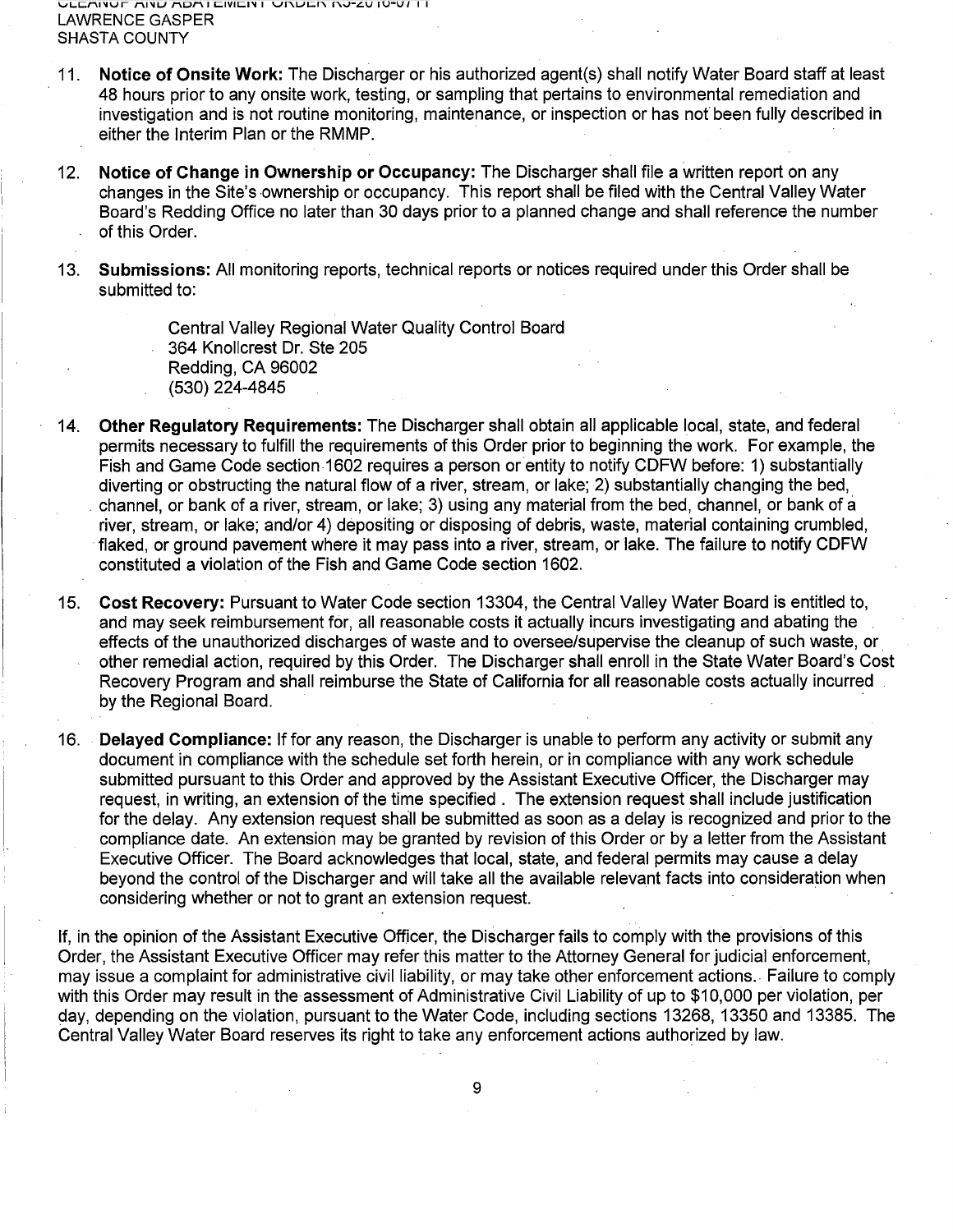- 11. **Notice of Onsite Work:** The Discharger or his authorized agent(s) shall notify Water Board staff at least 48 hours prior to any onsite work, testing, or sampling that pertains to environmental remediation and investigation and is not routine monitoring, maintenance, or inspection or has not been fully described in either the Interim Plan or the RMMP.
- 12. **Notice of Change in Ownership or Occupancy:** The Discharger shall file a written report on any changes in the Site's ownership or occupancy. This report shall be filed with the Central Valley Water Board's Redding Office no later than 30 days prior to a planned change and shall reference the number of this Order.
- 13. **Submissions:** All monitoring reports, technical reports or notices required under this Order shall be submitted to:

Central Valley Regional Water Quality Control Board 364 Knollcrest Dr. Ste 205 Redding, CA 96002 (530) 224-4845

- 14. **Other Regulatory Requirements:** The Discharger shall obtain all applicable local, state, and federal permits necessary to fulfill the requirements of this Order prior to beginning the work. For example, the Fish and Game Code section 1602 requires a person or entity to notify CDFW before: 1) substantially diverting or obstructing the natural flow of a river, stream, or lake; 2) substantially changing the bed, . channel, or bank of a river, stream, or lake; 3) using any material from the bed, channel, or bank of a river, stream, or lake; and/or 4) depositing or disposing of debris, waste, material containing crumbled, flaked, or ground pavement where it may pass into a river, stream, orlake. The failure to notify CDFW constituted a violation of the Fish and Game Code section 1602.
- 15. **Cost Recovery:** Pursuant to Water Code section 13304, the Central Valley Water Board is entitled to, and may seek reimbursement for, all reasonable costs it actually incurs investigating and abating the effects of the unauthorized discharges of waste and to oversee/supervise the cleanup of such waste, or. other remedial action, required by this Order. The Discharger shall enroll in the State Water Board's Cost Recovery Program and shall reimburse the State of California for all reasonable costs actually incurred by the Regional Board.
- 16. **Delayed Compliance:** If for any reason, the Discharger is unable to perform any activity or submit any document in compliance with the schedule set forth herein, or in compliance with any work schedule submitted pursuant to this Order and approved by the Assistant Executive Officer, the Discharger may request, in writing, an extension of the time specified . The extension request shall include justification for the delay. Any extension request shall be submitted as soon as a delay is recognized and prior to the compliance date. An extension may be granted by revision of this Order or by a letter from the Assistant Executive Officer. The Board acknowledges that local, state, and federal permits may cause a delay beyond the control of the Discharger and will take all the available relevant facts into consideration when considering whether or not to grant an extension request.

If, in the opinion of the Assistant Executive Officer, the Discharger fails to comply with the provisions of this Order, the Assistant Executive Officer may refer this matter to the Attorney General for judicial enforcement, may issue a complaint for administrative civil liability, or may take other enforcement actions .. Failure to comply with this Order may result in the assessment of Administrative Civil Liability of up to \$10,000 per violation, per day, depending on the violation, pursuant to the Water Code, including sections 13268, 13350 and 13385. The Central Valley Water Board reserves its right to take any enforcement actions authorized by law.